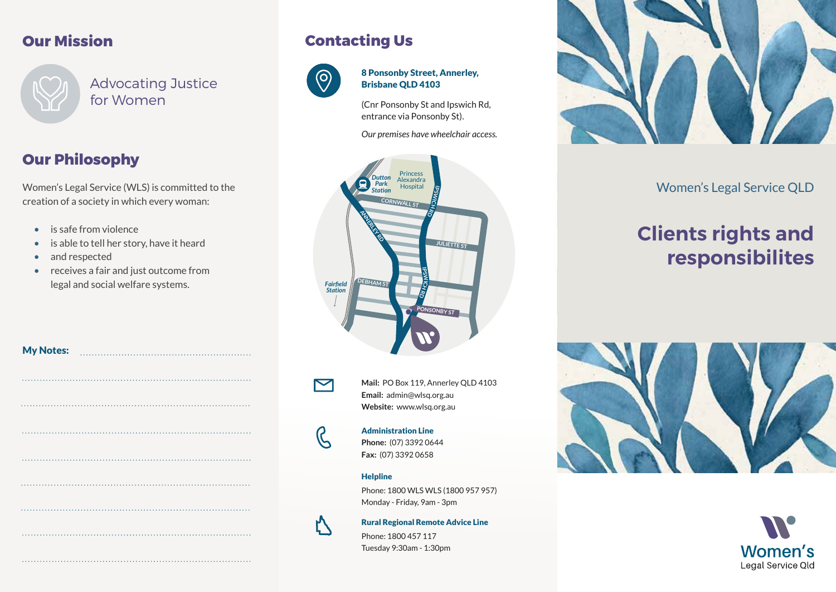### **Our Mission**



Advocating Justice for Women

## **Our Philosophy**

Women's Legal Service (WLS) is committed to the creation of a society in which every woman:

- is safe from violence
- is able to tell her story, have it heard
- and respected

My Notes:

• receives a fair and just outcome from legal and social welfare systems.

| <b>Contacting Us</b> |  |
|----------------------|--|
|----------------------|--|



#### 8 Ponsonby Street, Annerley, Brisbane QLD 4103

(Cnr Ponsonby St and Ipswich Rd, entrance via Ponsonby St).

*Our premises have wheelchair access.*





**Mail:** PO Box 119, Annerley QLD 4103 **Email:** admin@wlsq.org.au **Website:** www.wlsq.org.au

# $\mathcal{G}% _{M_{1},M_{2}}^{\alpha,\beta}(\theta)=\mathcal{G}_{M_{1},M_{2}}^{\alpha,\beta}(\theta)$

Administration Line **Phone:** (07) 3392 0644 **Fax:** (07) 3392 0658

#### **Helpline**

Phone: 1800 WLS WLS (1800 957 957) Monday - Friday, 9am - 3pm

Ŋ

Rural Regional Remote Advice Line

Phone: 1800 457 117 Tuesday 9:30am - 1:30pm



### Women's Legal Service QLD

# **Clients rights and responsibilites**